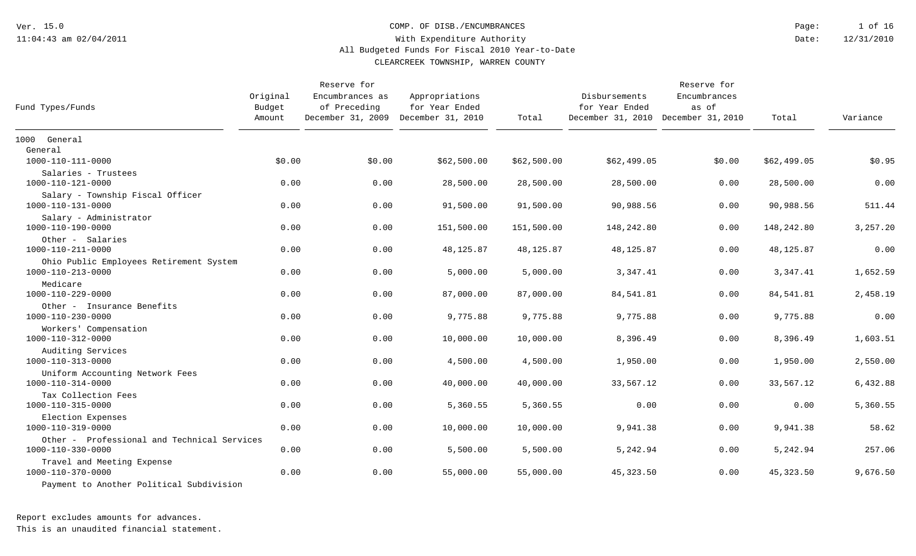COMP. OF DISB./ENCUMBRANCES

12/31/2010 1 of 16 Date: Page:

### With Expenditure Authority All Budgeted Funds For Fiscal 2010 Year-to-Date

CLEARCREEK TOWNSHIP, WARREN COUNTY

| Fund Types/Funds                                                 | Original<br>Budget<br>Amount | Reserve for<br>Encumbrances as<br>of Preceding<br>December 31, 2009 December 31, 2010 | Appropriations<br>for Year Ended | Total       | Disbursements<br>for Year Ended<br>December 31, 2010 December 31, 2010 | Reserve for<br>Encumbrances<br>as of | Total       | Variance |
|------------------------------------------------------------------|------------------------------|---------------------------------------------------------------------------------------|----------------------------------|-------------|------------------------------------------------------------------------|--------------------------------------|-------------|----------|
| 1000 General                                                     |                              |                                                                                       |                                  |             |                                                                        |                                      |             |          |
| General                                                          |                              |                                                                                       |                                  |             |                                                                        |                                      |             |          |
| 1000-110-111-0000                                                | \$0.00                       | \$0.00                                                                                | \$62,500.00                      | \$62,500.00 | \$62,499.05                                                            | \$0.00                               | \$62,499.05 | \$0.95   |
| Salaries - Trustees<br>1000-110-121-0000                         | 0.00                         | 0.00                                                                                  | 28,500.00                        | 28,500.00   | 28,500.00                                                              | 0.00                                 | 28,500.00   | 0.00     |
| Salary - Township Fiscal Officer<br>1000-110-131-0000            | 0.00                         | 0.00                                                                                  | 91,500.00                        | 91,500.00   | 90,988.56                                                              | 0.00                                 | 90,988.56   | 511.44   |
| Salary - Administrator<br>1000-110-190-0000                      | 0.00                         | 0.00                                                                                  | 151,500.00                       | 151,500.00  | 148,242.80                                                             | 0.00                                 | 148,242.80  | 3,257.20 |
| Other - Salaries<br>1000-110-211-0000                            | 0.00                         | 0.00                                                                                  | 48,125.87                        | 48,125.87   | 48,125.87                                                              | 0.00                                 | 48,125.87   | 0.00     |
| Ohio Public Employees Retirement System<br>1000-110-213-0000     | 0.00                         | 0.00                                                                                  | 5,000.00                         | 5,000.00    | 3,347.41                                                               | 0.00                                 | 3,347.41    | 1,652.59 |
| Medicare<br>1000-110-229-0000                                    | 0.00                         | 0.00                                                                                  | 87,000.00                        | 87,000.00   | 84,541.81                                                              | 0.00                                 | 84,541.81   | 2,458.19 |
| Other - Insurance Benefits<br>1000-110-230-0000                  | 0.00                         | 0.00                                                                                  | 9,775.88                         | 9,775.88    | 9,775.88                                                               | 0.00                                 | 9,775.88    | 0.00     |
| Workers' Compensation<br>1000-110-312-0000                       | 0.00                         | 0.00                                                                                  | 10,000.00                        | 10,000.00   | 8,396.49                                                               | 0.00                                 | 8,396.49    | 1,603.51 |
| Auditing Services<br>1000-110-313-0000                           | 0.00                         | 0.00                                                                                  | 4,500.00                         | 4,500.00    | 1,950.00                                                               | 0.00                                 | 1,950.00    | 2,550.00 |
| Uniform Accounting Network Fees<br>1000-110-314-0000             | 0.00                         | 0.00                                                                                  | 40,000.00                        | 40,000.00   | 33,567.12                                                              | 0.00                                 | 33,567.12   | 6,432.88 |
| Tax Collection Fees<br>1000-110-315-0000                         | 0.00                         | 0.00                                                                                  | 5,360.55                         | 5,360.55    | 0.00                                                                   | 0.00                                 | 0.00        | 5,360.55 |
| Election Expenses<br>1000-110-319-0000                           | 0.00                         | 0.00                                                                                  | 10,000.00                        | 10,000.00   | 9,941.38                                                               | 0.00                                 | 9,941.38    | 58.62    |
| Other - Professional and Technical Services<br>1000-110-330-0000 | 0.00                         | 0.00                                                                                  | 5,500.00                         | 5,500.00    | 5,242.94                                                               | 0.00                                 | 5,242.94    | 257.06   |
| Travel and Meeting Expense<br>1000-110-370-0000                  | 0.00                         | 0.00                                                                                  | 55,000.00                        | 55,000.00   | 45, 323.50                                                             | 0.00                                 | 45,323.50   | 9,676.50 |
| Payment to Another Political Subdivision                         |                              |                                                                                       |                                  |             |                                                                        |                                      |             |          |

Report excludes amounts for advances.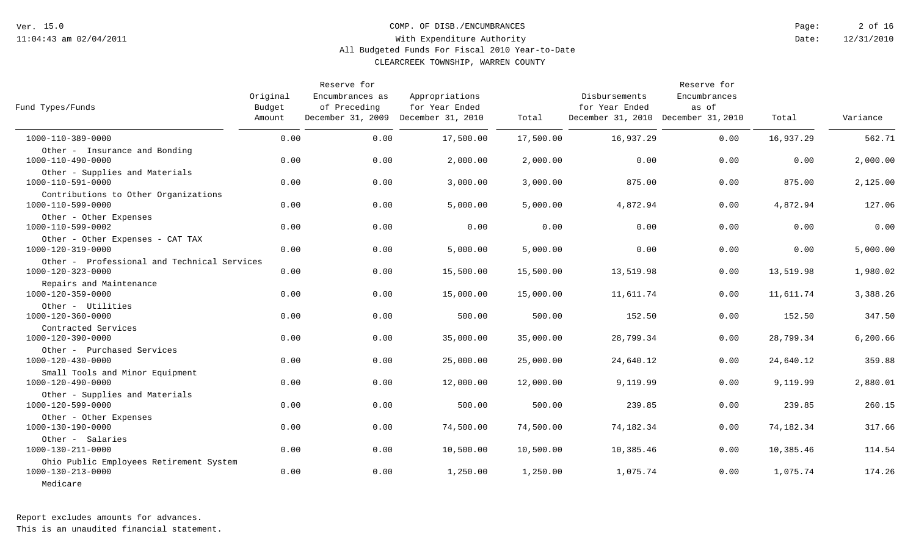#### COMP. OF DISB./ENCUMBRANCES

12/31/2010 2 of 16 Date: Page:

### With Expenditure Authority All Budgeted Funds For Fiscal 2010 Year-to-Date

CLEARCREEK TOWNSHIP, WARREN COUNTY

| Fund Types/Funds                                                         | Original<br>Budget<br>Amount | Reserve for<br>Encumbrances as<br>of Preceding<br>December 31, 2009 December 31, 2010 | Appropriations<br>for Year Ended | Total     | Disbursements<br>for Year Ended<br>December 31, 2010 December 31, 2010 | Reserve for<br>Encumbrances<br>as of | Total     | Variance |
|--------------------------------------------------------------------------|------------------------------|---------------------------------------------------------------------------------------|----------------------------------|-----------|------------------------------------------------------------------------|--------------------------------------|-----------|----------|
| 1000-110-389-0000                                                        | 0.00                         | 0.00                                                                                  | 17,500.00                        | 17,500.00 | 16,937.29                                                              | 0.00                                 | 16,937.29 | 562.71   |
| Other - Insurance and Bonding<br>1000-110-490-0000                       | 0.00                         | 0.00                                                                                  | 2,000.00                         | 2,000.00  | 0.00                                                                   | 0.00                                 | 0.00      | 2,000.00 |
| Other - Supplies and Materials<br>1000-110-591-0000                      | 0.00                         | 0.00                                                                                  | 3,000.00                         | 3,000.00  | 875.00                                                                 | 0.00                                 | 875.00    | 2,125.00 |
| Contributions to Other Organizations<br>1000-110-599-0000                | 0.00                         | 0.00                                                                                  | 5,000.00                         | 5,000.00  | 4,872.94                                                               | 0.00                                 | 4,872.94  | 127.06   |
| Other - Other Expenses<br>1000-110-599-0002                              | 0.00                         | 0.00                                                                                  | 0.00                             | 0.00      | 0.00                                                                   | 0.00                                 | 0.00      | 0.00     |
| Other - Other Expenses - CAT TAX<br>1000-120-319-0000                    | 0.00                         | 0.00                                                                                  | 5,000.00                         | 5,000.00  | 0.00                                                                   | 0.00                                 | 0.00      | 5,000.00 |
| Other - Professional and Technical Services<br>$1000 - 120 - 323 - 0000$ | 0.00                         | 0.00                                                                                  | 15,500.00                        | 15,500.00 | 13,519.98                                                              | 0.00                                 | 13,519.98 | 1,980.02 |
| Repairs and Maintenance<br>1000-120-359-0000                             | 0.00                         | 0.00                                                                                  | 15,000.00                        | 15,000.00 | 11,611.74                                                              | 0.00                                 | 11,611.74 | 3,388.26 |
| Other - Utilities<br>$1000 - 120 - 360 - 0000$                           | 0.00                         | 0.00                                                                                  | 500.00                           | 500.00    | 152.50                                                                 | 0.00                                 | 152.50    | 347.50   |
| Contracted Services<br>1000-120-390-0000                                 | 0.00                         | 0.00                                                                                  | 35,000.00                        | 35,000.00 | 28,799.34                                                              | 0.00                                 | 28,799.34 | 6,200.66 |
| Other - Purchased Services<br>1000-120-430-0000                          | 0.00                         | 0.00                                                                                  | 25,000.00                        | 25,000.00 | 24,640.12                                                              | 0.00                                 | 24,640.12 | 359.88   |
| Small Tools and Minor Equipment<br>1000-120-490-0000                     | 0.00                         | 0.00                                                                                  | 12,000.00                        | 12,000.00 | 9,119.99                                                               | 0.00                                 | 9,119.99  | 2,880.01 |
| Other - Supplies and Materials<br>1000-120-599-0000                      | 0.00                         | 0.00                                                                                  | 500.00                           | 500.00    | 239.85                                                                 | 0.00                                 | 239.85    | 260.15   |
| Other - Other Expenses<br>1000-130-190-0000                              | 0.00                         | 0.00                                                                                  | 74,500.00                        | 74,500.00 | 74,182.34                                                              | 0.00                                 | 74,182.34 | 317.66   |
| Other - Salaries<br>1000-130-211-0000                                    | 0.00                         | 0.00                                                                                  | 10,500.00                        | 10,500.00 | 10,385.46                                                              | 0.00                                 | 10,385.46 | 114.54   |
| Ohio Public Employees Retirement System<br>1000-130-213-0000<br>Medicare | 0.00                         | 0.00                                                                                  | 1,250.00                         | 1,250.00  | 1,075.74                                                               | 0.00                                 | 1,075.74  | 174.26   |

Report excludes amounts for advances.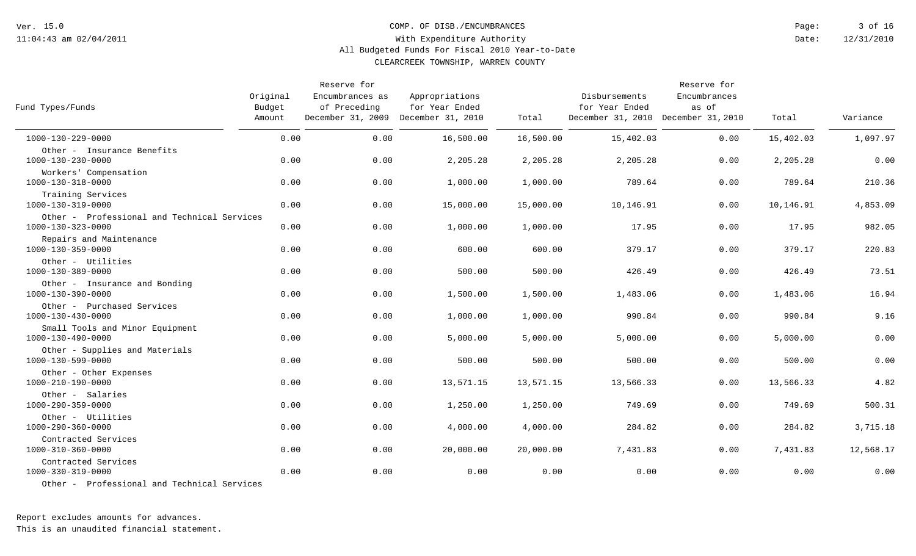COMP. OF DISB./ENCUMBRANCES

12/31/2010 3 of 16 Date: Page:

### With Expenditure Authority All Budgeted Funds For Fiscal 2010 Year-to-Date

CLEARCREEK TOWNSHIP, WARREN COUNTY

| Fund Types/Funds                                                                        | Original<br>Budget<br>Amount | Reserve for<br>Encumbrances as<br>of Preceding<br>December 31, 2009 December 31, 2010 | Appropriations<br>for Year Ended | Total     | Disbursements<br>for Year Ended<br>December 31, 2010 December 31, 2010 | Reserve for<br>Encumbrances<br>as of | Total     | Variance  |
|-----------------------------------------------------------------------------------------|------------------------------|---------------------------------------------------------------------------------------|----------------------------------|-----------|------------------------------------------------------------------------|--------------------------------------|-----------|-----------|
| 1000-130-229-0000                                                                       | 0.00                         | 0.00                                                                                  | 16,500.00                        | 16,500.00 | 15,402.03                                                              | 0.00                                 | 15,402.03 | 1,097.97  |
| Other - Insurance Benefits<br>1000-130-230-0000                                         | 0.00                         | 0.00                                                                                  | 2,205.28                         | 2,205.28  | 2,205.28                                                               | 0.00                                 | 2,205.28  | 0.00      |
| Workers' Compensation<br>1000-130-318-0000                                              | 0.00                         | 0.00                                                                                  | 1,000.00                         | 1,000.00  | 789.64                                                                 | 0.00                                 | 789.64    | 210.36    |
| Training Services<br>1000-130-319-0000                                                  | 0.00                         | 0.00                                                                                  | 15,000.00                        | 15,000.00 | 10,146.91                                                              | 0.00                                 | 10,146.91 | 4,853.09  |
| Other - Professional and Technical Services<br>1000-130-323-0000                        | 0.00                         | 0.00                                                                                  | 1,000.00                         | 1,000.00  | 17.95                                                                  | 0.00                                 | 17.95     | 982.05    |
| Repairs and Maintenance<br>1000-130-359-0000                                            | 0.00                         | 0.00                                                                                  | 600.00                           | 600.00    | 379.17                                                                 | 0.00                                 | 379.17    | 220.83    |
| Other - Utilities<br>1000-130-389-0000                                                  | 0.00                         | 0.00                                                                                  | 500.00                           | 500.00    | 426.49                                                                 | 0.00                                 | 426.49    | 73.51     |
| Other - Insurance and Bonding<br>1000-130-390-0000                                      | 0.00                         | 0.00                                                                                  | 1,500.00                         | 1,500.00  | 1,483.06                                                               | 0.00                                 | 1,483.06  | 16.94     |
| Other - Purchased Services<br>1000-130-430-0000                                         | 0.00                         | 0.00                                                                                  | 1,000.00                         | 1,000.00  | 990.84                                                                 | 0.00                                 | 990.84    | 9.16      |
| Small Tools and Minor Equipment<br>1000-130-490-0000                                    | 0.00                         | 0.00                                                                                  | 5,000.00                         | 5,000.00  | 5,000.00                                                               | 0.00                                 | 5,000.00  | 0.00      |
| Other - Supplies and Materials<br>1000-130-599-0000                                     | 0.00                         | 0.00                                                                                  | 500.00                           | 500.00    | 500.00                                                                 | 0.00                                 | 500.00    | 0.00      |
| Other - Other Expenses<br>1000-210-190-0000                                             | 0.00                         | 0.00                                                                                  | 13,571.15                        | 13,571.15 | 13,566.33                                                              | 0.00                                 | 13,566.33 | 4.82      |
| Other - Salaries<br>$1000 - 290 - 359 - 0000$                                           | 0.00                         | 0.00                                                                                  | 1,250.00                         | 1,250.00  | 749.69                                                                 | 0.00                                 | 749.69    | 500.31    |
| Other - Utilities<br>1000-290-360-0000                                                  | 0.00                         | 0.00                                                                                  | 4,000.00                         | 4,000.00  | 284.82                                                                 | 0.00                                 | 284.82    | 3,715.18  |
| Contracted Services<br>1000-310-360-0000                                                | 0.00                         | 0.00                                                                                  | 20,000.00                        | 20,000.00 | 7,431.83                                                               | 0.00                                 | 7,431.83  | 12,568.17 |
| Contracted Services<br>1000-330-319-0000<br>Other - Professional and Technical Services | 0.00                         | 0.00                                                                                  | 0.00                             | 0.00      | 0.00                                                                   | 0.00                                 | 0.00      | 0.00      |
|                                                                                         |                              |                                                                                       |                                  |           |                                                                        |                                      |           |           |

Report excludes amounts for advances.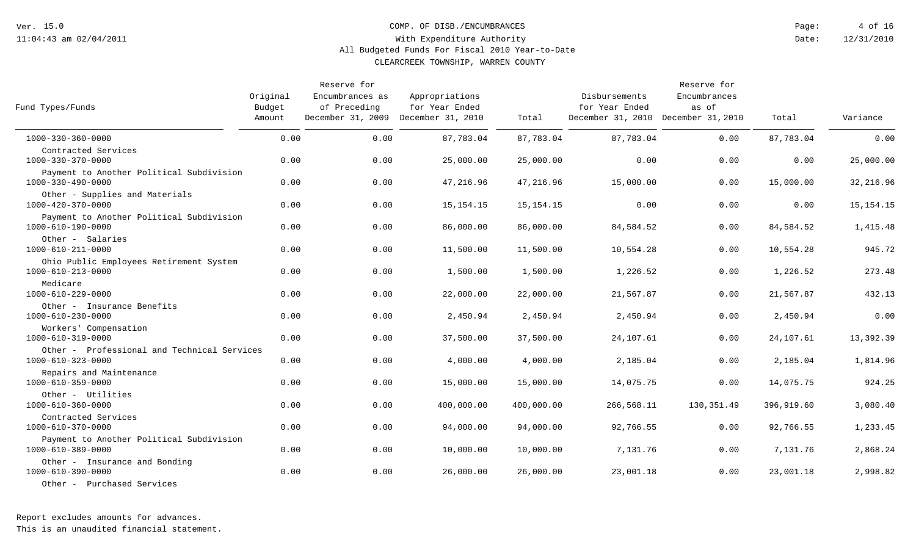#### COMP. OF DISB./ENCUMBRANCES

12/31/2010 4 of 16 Date: Page:

### With Expenditure Authority All Budgeted Funds For Fiscal 2010 Year-to-Date

CLEARCREEK TOWNSHIP, WARREN COUNTY

| Fund Types/Funds                                                                 | Original<br>Budget<br>Amount | Reserve for<br>Encumbrances as<br>of Preceding<br>December 31, 2009 December 31, 2010 | Appropriations<br>for Year Ended | Total       | Disbursements<br>for Year Ended<br>December 31, 2010 December 31, 2010 | Reserve for<br>Encumbrances<br>as of | Total      | Variance    |
|----------------------------------------------------------------------------------|------------------------------|---------------------------------------------------------------------------------------|----------------------------------|-------------|------------------------------------------------------------------------|--------------------------------------|------------|-------------|
| $1000 - 330 - 360 - 0000$                                                        | 0.00                         | 0.00                                                                                  | 87,783.04                        | 87,783.04   | 87,783.04                                                              | 0.00                                 | 87,783.04  | 0.00        |
| Contracted Services<br>1000-330-370-0000                                         | 0.00                         | 0.00                                                                                  | 25,000.00                        | 25,000.00   | 0.00                                                                   | 0.00                                 | 0.00       | 25,000.00   |
| Payment to Another Political Subdivision<br>1000-330-490-0000                    | 0.00                         | 0.00                                                                                  | 47,216.96                        | 47,216.96   | 15,000.00                                                              | 0.00                                 | 15,000.00  | 32, 216.96  |
| Other - Supplies and Materials<br>1000-420-370-0000                              | 0.00                         | 0.00                                                                                  | 15, 154. 15                      | 15, 154. 15 | 0.00                                                                   | 0.00                                 | 0.00       | 15, 154. 15 |
| Payment to Another Political Subdivision<br>1000-610-190-0000                    | 0.00                         | 0.00                                                                                  | 86,000.00                        | 86,000.00   | 84,584.52                                                              | 0.00                                 | 84,584.52  | 1,415.48    |
| Other - Salaries<br>1000-610-211-0000                                            | 0.00                         | 0.00                                                                                  | 11,500.00                        | 11,500.00   | 10,554.28                                                              | 0.00                                 | 10,554.28  | 945.72      |
| Ohio Public Employees Retirement System<br>1000-610-213-0000                     | 0.00                         | 0.00                                                                                  | 1,500.00                         | 1,500.00    | 1,226.52                                                               | 0.00                                 | 1,226.52   | 273.48      |
| Medicare<br>1000-610-229-0000                                                    | 0.00                         | 0.00                                                                                  | 22,000.00                        | 22,000.00   | 21,567.87                                                              | 0.00                                 | 21,567.87  | 432.13      |
| Other - Insurance Benefits<br>1000-610-230-0000                                  | 0.00                         | 0.00                                                                                  | 2,450.94                         | 2,450.94    | 2,450.94                                                               | 0.00                                 | 2,450.94   | 0.00        |
| Workers' Compensation<br>$1000 - 610 - 319 - 0000$                               | 0.00                         | 0.00                                                                                  | 37,500.00                        | 37,500.00   | 24,107.61                                                              | 0.00                                 | 24,107.61  | 13,392.39   |
| Other - Professional and Technical Services<br>$1000 - 610 - 323 - 0000$         | 0.00                         | 0.00                                                                                  | 4,000.00                         | 4,000.00    | 2,185.04                                                               | 0.00                                 | 2,185.04   | 1,814.96    |
| Repairs and Maintenance<br>1000-610-359-0000                                     | 0.00                         | 0.00                                                                                  | 15,000.00                        | 15,000.00   | 14,075.75                                                              | 0.00                                 | 14,075.75  | 924.25      |
| Other - Utilities<br>1000-610-360-0000                                           | 0.00                         | 0.00                                                                                  | 400,000.00                       | 400,000.00  | 266,568.11                                                             | 130,351.49                           | 396,919.60 | 3,080.40    |
| Contracted Services<br>1000-610-370-0000                                         | 0.00                         | 0.00                                                                                  | 94,000.00                        | 94,000.00   | 92,766.55                                                              | 0.00                                 | 92,766.55  | 1,233.45    |
| Payment to Another Political Subdivision<br>1000-610-389-0000                    | 0.00                         | 0.00                                                                                  | 10,000.00                        | 10,000.00   | 7,131.76                                                               | 0.00                                 | 7,131.76   | 2,868.24    |
| Other - Insurance and Bonding<br>1000-610-390-0000<br>Other - Purchased Services | 0.00                         | 0.00                                                                                  | 26,000.00                        | 26,000.00   | 23,001.18                                                              | 0.00                                 | 23,001.18  | 2,998.82    |

Report excludes amounts for advances.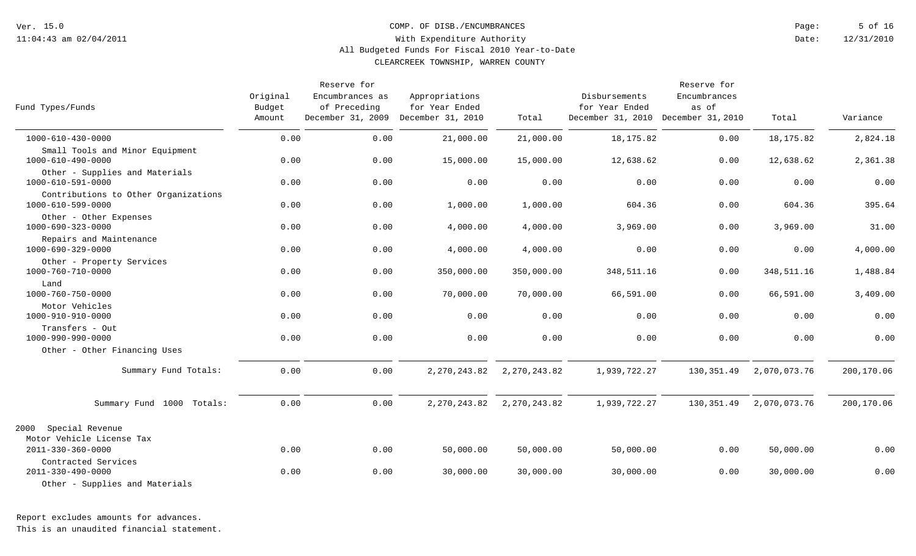COMP. OF DISB./ENCUMBRANCES

12/31/2010 5 of 16 Date: Page:

### With Expenditure Authority All Budgeted Funds For Fiscal 2010 Year-to-Date

CLEARCREEK TOWNSHIP, WARREN COUNTY

| Fund Types/Funds                                          | Original<br>Budget<br>Amount | Reserve for<br>Encumbrances as<br>of Preceding<br>December 31, 2009 December 31, 2010 | Appropriations<br>for Year Ended | Total          | Disbursements<br>for Year Ended<br>December 31, 2010 December 31, 2010 | Reserve for<br>Encumbrances<br>as of | Total        | Variance   |
|-----------------------------------------------------------|------------------------------|---------------------------------------------------------------------------------------|----------------------------------|----------------|------------------------------------------------------------------------|--------------------------------------|--------------|------------|
| 1000-610-430-0000                                         | 0.00                         | 0.00                                                                                  | 21,000.00                        | 21,000.00      | 18, 175.82                                                             | 0.00                                 | 18,175.82    | 2,824.18   |
| Small Tools and Minor Equipment<br>1000-610-490-0000      | 0.00                         | 0.00                                                                                  | 15,000.00                        | 15,000.00      | 12,638.62                                                              | 0.00                                 | 12,638.62    | 2,361.38   |
| Other - Supplies and Materials<br>1000-610-591-0000       | 0.00                         | 0.00                                                                                  | 0.00                             | 0.00           | 0.00                                                                   | 0.00                                 | 0.00         | 0.00       |
| Contributions to Other Organizations<br>1000-610-599-0000 | 0.00                         | 0.00                                                                                  | 1,000.00                         | 1,000.00       | 604.36                                                                 | 0.00                                 | 604.36       | 395.64     |
| Other - Other Expenses<br>$1000 - 690 - 323 - 0000$       | 0.00                         | 0.00                                                                                  | 4,000.00                         | 4,000.00       | 3,969.00                                                               | 0.00                                 | 3,969.00     | 31.00      |
| Repairs and Maintenance<br>1000-690-329-0000              | 0.00                         | 0.00                                                                                  | 4,000.00                         | 4,000.00       | 0.00                                                                   | 0.00                                 | 0.00         | 4,000.00   |
| Other - Property Services<br>1000-760-710-0000            | 0.00                         | 0.00                                                                                  | 350,000.00                       | 350,000.00     | 348,511.16                                                             | 0.00                                 | 348,511.16   | 1,488.84   |
| Land<br>1000-760-750-0000                                 | 0.00                         | 0.00                                                                                  | 70,000.00                        | 70,000.00      | 66,591.00                                                              | 0.00                                 | 66,591.00    | 3,409.00   |
| Motor Vehicles<br>1000-910-910-0000                       | 0.00                         | 0.00                                                                                  | 0.00                             | 0.00           | 0.00                                                                   | 0.00                                 | 0.00         | 0.00       |
| Transfers - Out<br>1000-990-990-0000                      | 0.00                         | 0.00                                                                                  | 0.00                             | 0.00           | 0.00                                                                   | 0.00                                 | 0.00         | 0.00       |
| Other - Other Financing Uses                              |                              |                                                                                       |                                  |                |                                                                        |                                      |              |            |
| Summary Fund Totals:                                      | 0.00                         | 0.00                                                                                  | 2, 270, 243.82                   | 2, 270, 243.82 | 1,939,722.27                                                           | 130,351.49                           | 2,070,073.76 | 200,170.06 |
| Summary Fund 1000 Totals:                                 | 0.00                         | 0.00                                                                                  | 2, 270, 243.82                   | 2, 270, 243.82 | 1,939,722.27                                                           | 130,351.49                           | 2,070,073.76 | 200,170.06 |
| Special Revenue<br>2000<br>Motor Vehicle License Tax      |                              |                                                                                       |                                  |                |                                                                        |                                      |              |            |
| $2011 - 330 - 360 - 0000$                                 | 0.00                         | 0.00                                                                                  | 50,000.00                        | 50,000.00      | 50,000.00                                                              | 0.00                                 | 50,000.00    | 0.00       |
| Contracted Services<br>$2011 - 330 - 490 - 0000$          | 0.00                         | 0.00                                                                                  | 30,000.00                        | 30,000.00      | 30,000.00                                                              | 0.00                                 | 30,000.00    | 0.00       |
| Other - Supplies and Materials                            |                              |                                                                                       |                                  |                |                                                                        |                                      |              |            |

Report excludes amounts for advances.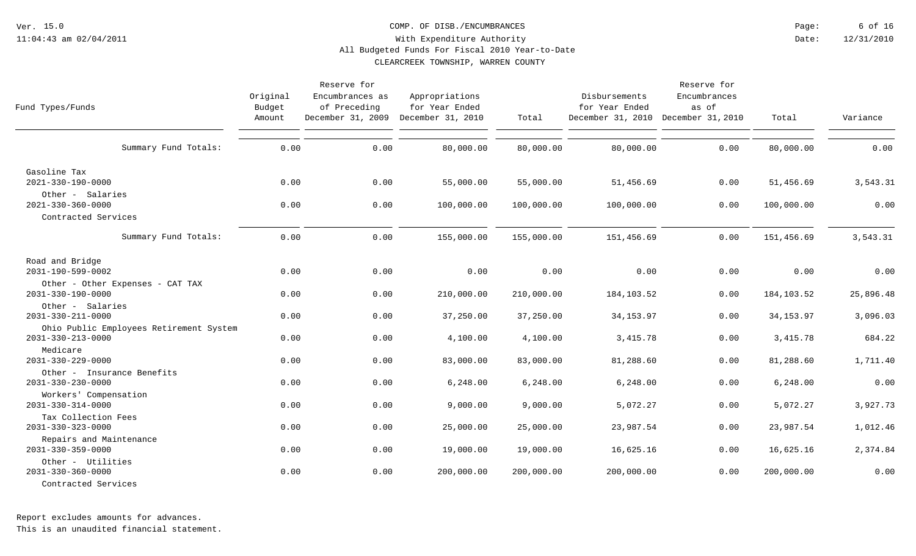#### COMP. OF DISB./ENCUMBRANCES

12/31/2010 6 of 16 Date: Page:

### With Expenditure Authority All Budgeted Funds For Fiscal 2010 Year-to-Date

CLEARCREEK TOWNSHIP, WARREN COUNTY

| Fund Types/Funds                                                                  | Original<br>Budget<br>Amount | Reserve for<br>Encumbrances as<br>of Preceding<br>December 31, 2009 December 31, 2010 | Appropriations<br>for Year Ended | Total      | Disbursements<br>for Year Ended<br>December 31, 2010 December 31, 2010 | Reserve for<br>Encumbrances<br>as of | Total       | Variance  |
|-----------------------------------------------------------------------------------|------------------------------|---------------------------------------------------------------------------------------|----------------------------------|------------|------------------------------------------------------------------------|--------------------------------------|-------------|-----------|
| Summary Fund Totals:                                                              | 0.00                         | 0.00                                                                                  | 80,000.00                        | 80,000.00  | 80,000.00                                                              | 0.00                                 | 80,000.00   | 0.00      |
| Gasoline Tax<br>2021-330-190-0000                                                 | 0.00                         | 0.00                                                                                  | 55,000.00                        | 55,000.00  | 51,456.69                                                              | 0.00                                 | 51,456.69   | 3,543.31  |
| Other - Salaries<br>$2021 - 330 - 360 - 0000$<br>Contracted Services              | 0.00                         | 0.00                                                                                  | 100,000.00                       | 100,000.00 | 100,000.00                                                             | 0.00                                 | 100,000.00  | 0.00      |
| Summary Fund Totals:                                                              | 0.00                         | 0.00                                                                                  | 155,000.00                       | 155,000.00 | 151,456.69                                                             | 0.00                                 | 151,456.69  | 3,543.31  |
| Road and Bridge<br>2031-190-599-0002                                              | 0.00                         | 0.00                                                                                  | 0.00                             | 0.00       | 0.00                                                                   | 0.00                                 | 0.00        | 0.00      |
| Other - Other Expenses - CAT TAX<br>$2031 - 330 - 190 - 0000$<br>Other - Salaries | 0.00                         | 0.00                                                                                  | 210,000.00                       | 210,000.00 | 184,103.52                                                             | 0.00                                 | 184, 103.52 | 25,896.48 |
| $2031 - 330 - 211 - 0000$                                                         | 0.00                         | 0.00                                                                                  | 37,250.00                        | 37,250.00  | 34, 153.97                                                             | 0.00                                 | 34, 153.97  | 3,096.03  |
| Ohio Public Employees Retirement System<br>$2031 - 330 - 213 - 0000$<br>Medicare  | 0.00                         | 0.00                                                                                  | 4,100.00                         | 4,100.00   | 3, 415.78                                                              | 0.00                                 | 3,415.78    | 684.22    |
| $2031 - 330 - 229 - 0000$                                                         | 0.00                         | 0.00                                                                                  | 83,000.00                        | 83,000.00  | 81,288.60                                                              | 0.00                                 | 81,288.60   | 1,711.40  |
| Other - Insurance Benefits<br>$2031 - 330 - 230 - 0000$                           | 0.00                         | 0.00                                                                                  | 6,248.00                         | 6, 248.00  | 6, 248.00                                                              | 0.00                                 | 6, 248.00   | 0.00      |
| Workers' Compensation<br>$2031 - 330 - 314 - 0000$                                | 0.00                         | 0.00                                                                                  | 9,000.00                         | 9,000.00   | 5,072.27                                                               | 0.00                                 | 5,072.27    | 3,927.73  |
| Tax Collection Fees<br>$2031 - 330 - 323 - 0000$                                  | 0.00                         | 0.00                                                                                  | 25,000.00                        | 25,000.00  | 23,987.54                                                              | 0.00                                 | 23,987.54   | 1,012.46  |
| Repairs and Maintenance<br>$2031 - 330 - 359 - 0000$                              | 0.00                         | 0.00                                                                                  | 19,000.00                        | 19,000.00  | 16,625.16                                                              | 0.00                                 | 16,625.16   | 2,374.84  |
| Other - Utilities<br>$2031 - 330 - 360 - 0000$<br>Contracted Services             | 0.00                         | 0.00                                                                                  | 200,000.00                       | 200,000.00 | 200,000.00                                                             | 0.00                                 | 200,000.00  | 0.00      |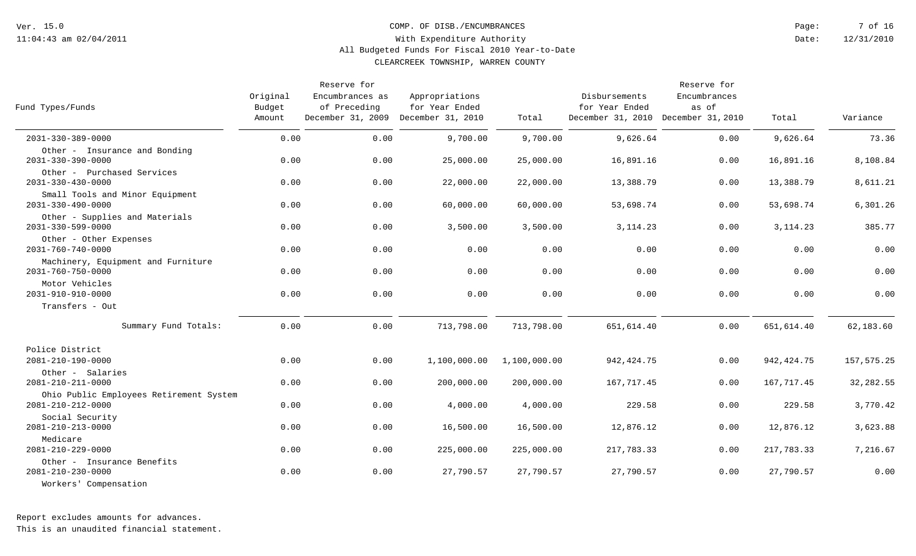COMP. OF DISB./ENCUMBRANCES

12/31/2010 7 of 16 Date: Page:

### With Expenditure Authority All Budgeted Funds For Fiscal 2010 Year-to-Date

CLEARCREEK TOWNSHIP, WARREN COUNTY

| Fund Types/Funds                                                | Original<br>Budget<br>Amount | Reserve for<br>Encumbrances as<br>of Preceding<br>December 31, 2009 December 31, 2010 | Appropriations<br>for Year Ended | Total        | Disbursements<br>for Year Ended<br>December 31, 2010 December 31, 2010 | Reserve for<br>Encumbrances<br>as of | Total       | Variance   |
|-----------------------------------------------------------------|------------------------------|---------------------------------------------------------------------------------------|----------------------------------|--------------|------------------------------------------------------------------------|--------------------------------------|-------------|------------|
| $2031 - 330 - 389 - 0000$                                       | 0.00                         | 0.00                                                                                  | 9,700.00                         | 9,700.00     | 9,626.64                                                               | 0.00                                 | 9,626.64    | 73.36      |
| Other - Insurance and Bonding<br>$2031 - 330 - 390 - 0000$      | 0.00                         | 0.00                                                                                  | 25,000.00                        | 25,000.00    | 16,891.16                                                              | 0.00                                 | 16,891.16   | 8,108.84   |
| Other - Purchased Services<br>$2031 - 330 - 430 - 0000$         | 0.00                         | 0.00                                                                                  | 22,000.00                        | 22,000.00    | 13,388.79                                                              | 0.00                                 | 13,388.79   | 8,611.21   |
| Small Tools and Minor Equipment<br>$2031 - 330 - 490 - 0000$    | 0.00                         | 0.00                                                                                  | 60,000.00                        | 60,000.00    | 53,698.74                                                              | 0.00                                 | 53,698.74   | 6,301.26   |
| Other - Supplies and Materials<br>$2031 - 330 - 599 - 0000$     | 0.00                         | 0.00                                                                                  | 3,500.00                         | 3,500.00     | 3, 114. 23                                                             | 0.00                                 | 3, 114. 23  | 385.77     |
| Other - Other Expenses<br>$2031 - 760 - 740 - 0000$             | 0.00                         | 0.00                                                                                  | 0.00                             | 0.00         | 0.00                                                                   | 0.00                                 | 0.00        | 0.00       |
| Machinery, Equipment and Furniture<br>$2031 - 760 - 750 - 0000$ | 0.00                         | 0.00                                                                                  | 0.00                             | 0.00         | 0.00                                                                   | 0.00                                 | 0.00        | 0.00       |
| Motor Vehicles<br>2031-910-910-0000                             | 0.00                         | 0.00                                                                                  | 0.00                             | 0.00         | 0.00                                                                   | 0.00                                 | 0.00        | 0.00       |
| Transfers - Out                                                 |                              |                                                                                       |                                  |              |                                                                        |                                      |             |            |
| Summary Fund Totals:                                            | 0.00                         | 0.00                                                                                  | 713,798.00                       | 713,798.00   | 651,614.40                                                             | 0.00                                 | 651,614.40  | 62,183.60  |
| Police District                                                 |                              |                                                                                       |                                  |              |                                                                        |                                      |             |            |
| 2081-210-190-0000                                               | 0.00                         | 0.00                                                                                  | 1,100,000.00                     | 1,100,000.00 | 942, 424.75                                                            | 0.00                                 | 942, 424.75 | 157,575.25 |
| Other - Salaries<br>2081-210-211-0000                           | 0.00                         | 0.00                                                                                  | 200,000.00                       | 200,000.00   | 167,717.45                                                             | 0.00                                 | 167,717.45  | 32,282.55  |
| Ohio Public Employees Retirement System<br>2081-210-212-0000    | 0.00                         | 0.00                                                                                  | 4,000.00                         | 4,000.00     | 229.58                                                                 | 0.00                                 | 229.58      | 3,770.42   |
| Social Security<br>2081-210-213-0000                            | 0.00                         | 0.00                                                                                  | 16,500.00                        | 16,500.00    | 12,876.12                                                              | 0.00                                 | 12,876.12   | 3,623.88   |
| Medicare<br>2081-210-229-0000                                   | 0.00                         | 0.00                                                                                  | 225,000.00                       | 225,000.00   | 217,783.33                                                             | 0.00                                 | 217,783.33  | 7,216.67   |
| Other - Insurance Benefits<br>2081-210-230-0000                 | 0.00                         | 0.00                                                                                  | 27,790.57                        | 27,790.57    | 27,790.57                                                              | 0.00                                 | 27,790.57   | 0.00       |
| Workers' Compensation                                           |                              |                                                                                       |                                  |              |                                                                        |                                      |             |            |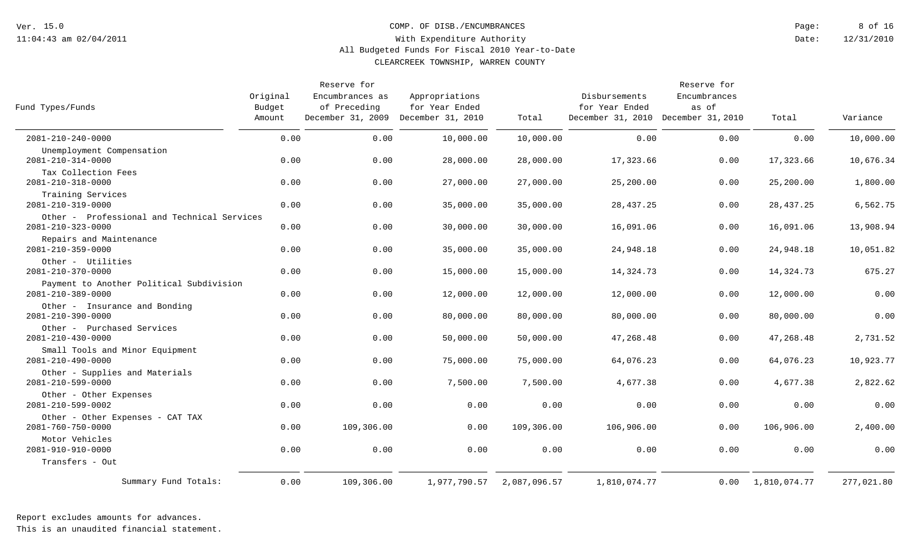#### COMP. OF DISB./ENCUMBRANCES

12/31/2010 8 of 16 Date: Page:

### With Expenditure Authority All Budgeted Funds For Fiscal 2010 Year-to-Date

CLEARCREEK TOWNSHIP, WARREN COUNTY

| Fund Types/Funds                                                         | Original<br>Budget<br>Amount | Reserve for<br>Encumbrances as<br>of Preceding<br>December 31, 2009 December 31, 2010 | Appropriations<br>for Year Ended | Total        | Disbursements<br>for Year Ended<br>December 31, 2010 December 31, 2010 | Reserve for<br>Encumbrances<br>as of | Total        | Variance   |
|--------------------------------------------------------------------------|------------------------------|---------------------------------------------------------------------------------------|----------------------------------|--------------|------------------------------------------------------------------------|--------------------------------------|--------------|------------|
| 2081-210-240-0000                                                        | 0.00                         | 0.00                                                                                  | 10,000.00                        | 10,000.00    | 0.00                                                                   | 0.00                                 | 0.00         | 10,000.00  |
| Unemployment Compensation<br>2081-210-314-0000                           | 0.00                         | 0.00                                                                                  | 28,000.00                        | 28,000.00    | 17,323.66                                                              | 0.00                                 | 17,323.66    | 10,676.34  |
| Tax Collection Fees<br>$2081 - 210 - 318 - 0000$                         | 0.00                         | 0.00                                                                                  | 27,000.00                        | 27,000.00    | 25,200.00                                                              | 0.00                                 | 25,200.00    | 1,800.00   |
| Training Services<br>2081-210-319-0000                                   | 0.00                         | 0.00                                                                                  | 35,000.00                        | 35,000.00    | 28, 437. 25                                                            | 0.00                                 | 28, 437. 25  | 6,562.75   |
| Other - Professional and Technical Services<br>$2081 - 210 - 323 - 0000$ | 0.00                         | 0.00                                                                                  | 30,000.00                        | 30,000.00    | 16,091.06                                                              | 0.00                                 | 16,091.06    | 13,908.94  |
| Repairs and Maintenance<br>$2081 - 210 - 359 - 0000$                     | 0.00                         | 0.00                                                                                  | 35,000.00                        | 35,000.00    | 24,948.18                                                              | 0.00                                 | 24,948.18    | 10,051.82  |
| Other - Utilities<br>2081-210-370-0000                                   | 0.00                         | 0.00                                                                                  | 15,000.00                        | 15,000.00    | 14,324.73                                                              | 0.00                                 | 14,324.73    | 675.27     |
| Payment to Another Political Subdivision<br>2081-210-389-0000            | 0.00                         | 0.00                                                                                  | 12,000.00                        | 12,000.00    | 12,000.00                                                              | 0.00                                 | 12,000.00    | 0.00       |
| Other - Insurance and Bonding<br>$2081 - 210 - 390 - 0000$               | 0.00                         | 0.00                                                                                  | 80,000.00                        | 80,000.00    | 80,000.00                                                              | 0.00                                 | 80,000.00    | 0.00       |
| Other - Purchased Services<br>2081-210-430-0000                          | 0.00                         | 0.00                                                                                  | 50,000.00                        | 50,000.00    | 47,268.48                                                              | 0.00                                 | 47,268.48    | 2,731.52   |
| Small Tools and Minor Equipment<br>2081-210-490-0000                     | 0.00                         | 0.00                                                                                  | 75,000.00                        | 75,000.00    | 64,076.23                                                              | 0.00                                 | 64,076.23    | 10,923.77  |
| Other - Supplies and Materials<br>2081-210-599-0000                      | 0.00                         | 0.00                                                                                  | 7,500.00                         | 7,500.00     | 4,677.38                                                               | 0.00                                 | 4,677.38     | 2,822.62   |
| Other - Other Expenses<br>2081-210-599-0002                              | 0.00                         | 0.00                                                                                  | 0.00                             | 0.00         | 0.00                                                                   | 0.00                                 | 0.00         | 0.00       |
| Other - Other Expenses - CAT TAX<br>2081-760-750-0000                    | 0.00                         | 109,306.00                                                                            | 0.00                             | 109,306.00   | 106,906.00                                                             | 0.00                                 | 106,906.00   | 2,400.00   |
| Motor Vehicles<br>2081-910-910-0000                                      | 0.00                         | 0.00                                                                                  | 0.00                             | 0.00         | 0.00                                                                   | 0.00                                 | 0.00         | 0.00       |
| Transfers - Out                                                          |                              |                                                                                       |                                  |              |                                                                        |                                      |              |            |
| Summary Fund Totals:                                                     | 0.00                         | 109,306.00                                                                            | 1,977,790.57                     | 2,087,096.57 | 1,810,074.77                                                           | 0.00                                 | 1,810,074.77 | 277,021.80 |

Report excludes amounts for advances.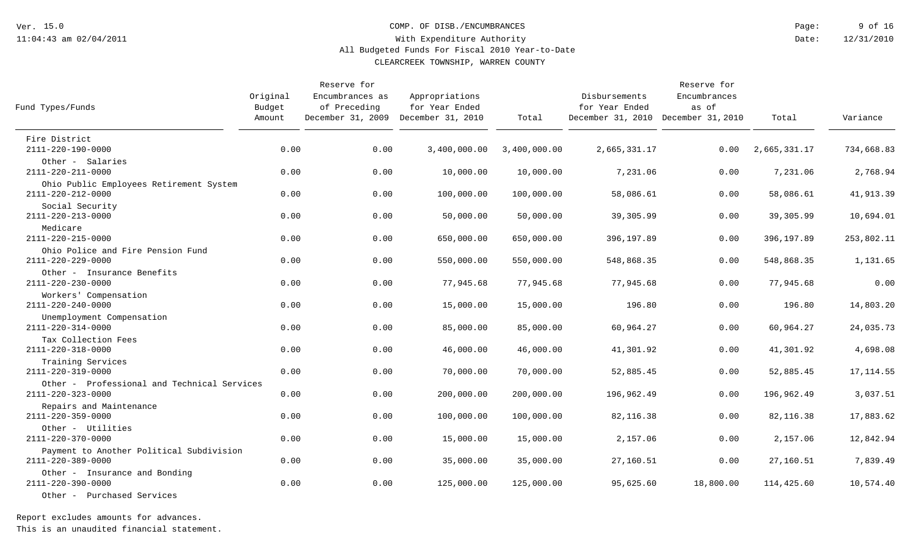#### COMP. OF DISB./ENCUMBRANCES

12/31/2010 9 of 16 Date: Page:

### With Expenditure Authority All Budgeted Funds For Fiscal 2010 Year-to-Date

CLEARCREEK TOWNSHIP, WARREN COUNTY

| Fund Types/Funds                                                                 | Original<br>Budget<br>Amount | Reserve for<br>Encumbrances as<br>of Preceding<br>December 31, 2009 December 31, 2010 | Appropriations<br>for Year Ended | Total        | Disbursements<br>for Year Ended<br>December 31, 2010 December 31, 2010 | Reserve for<br>Encumbrances<br>as of | Total        | Variance   |
|----------------------------------------------------------------------------------|------------------------------|---------------------------------------------------------------------------------------|----------------------------------|--------------|------------------------------------------------------------------------|--------------------------------------|--------------|------------|
| Fire District                                                                    |                              |                                                                                       |                                  |              |                                                                        |                                      |              |            |
| 2111-220-190-0000                                                                | 0.00                         | 0.00                                                                                  | 3,400,000.00                     | 3,400,000.00 | 2,665,331.17                                                           | 0.00                                 | 2,665,331.17 | 734,668.83 |
| Other - Salaries<br>2111-220-211-0000                                            | 0.00                         | 0.00                                                                                  | 10,000.00                        | 10,000.00    | 7,231.06                                                               | 0.00                                 | 7,231.06     | 2,768.94   |
| Ohio Public Employees Retirement System<br>2111-220-212-0000                     | 0.00                         | 0.00                                                                                  | 100,000.00                       | 100,000.00   | 58,086.61                                                              | 0.00                                 | 58,086.61    | 41,913.39  |
| Social Security<br>2111-220-213-0000                                             | 0.00                         | 0.00                                                                                  | 50,000.00                        | 50,000.00    | 39,305.99                                                              | 0.00                                 | 39,305.99    | 10,694.01  |
| Medicare<br>2111-220-215-0000                                                    | 0.00                         | 0.00                                                                                  | 650,000.00                       | 650,000.00   | 396,197.89                                                             | 0.00                                 | 396,197.89   | 253,802.11 |
| Ohio Police and Fire Pension Fund<br>2111-220-229-0000                           | 0.00                         | 0.00                                                                                  | 550,000.00                       | 550,000.00   | 548,868.35                                                             | 0.00                                 | 548,868.35   | 1,131.65   |
| Other - Insurance Benefits<br>2111-220-230-0000                                  | 0.00                         | 0.00                                                                                  | 77,945.68                        | 77,945.68    | 77,945.68                                                              | 0.00                                 | 77,945.68    | 0.00       |
| Workers' Compensation<br>2111-220-240-0000                                       | 0.00                         | 0.00                                                                                  | 15,000.00                        | 15,000.00    | 196.80                                                                 | 0.00                                 | 196.80       | 14,803.20  |
| Unemployment Compensation<br>2111-220-314-0000                                   | 0.00                         | 0.00                                                                                  | 85,000.00                        | 85,000.00    | 60,964.27                                                              | 0.00                                 | 60,964.27    | 24,035.73  |
| Tax Collection Fees<br>2111-220-318-0000                                         | 0.00                         | 0.00                                                                                  | 46,000.00                        | 46,000.00    | 41,301.92                                                              | 0.00                                 | 41,301.92    | 4,698.08   |
| Training Services<br>2111-220-319-0000                                           | 0.00                         | 0.00                                                                                  | 70,000.00                        | 70,000.00    | 52,885.45                                                              | 0.00                                 | 52,885.45    | 17, 114.55 |
| Other - Professional and Technical Services<br>2111-220-323-0000                 | 0.00                         | 0.00                                                                                  | 200,000.00                       | 200,000.00   | 196,962.49                                                             | 0.00                                 | 196,962.49   | 3,037.51   |
| Repairs and Maintenance<br>2111-220-359-0000                                     | 0.00                         | 0.00                                                                                  | 100,000.00                       | 100,000.00   | 82, 116.38                                                             | 0.00                                 | 82,116.38    | 17,883.62  |
| Other - Utilities<br>2111-220-370-0000                                           | 0.00                         | 0.00                                                                                  | 15,000.00                        | 15,000.00    | 2,157.06                                                               | 0.00                                 | 2,157.06     | 12,842.94  |
| Payment to Another Political Subdivision<br>$2111 - 220 - 389 - 0000$            | 0.00                         | 0.00                                                                                  | 35,000.00                        | 35,000.00    | 27,160.51                                                              | 0.00                                 | 27,160.51    | 7,839.49   |
| Other - Insurance and Bonding<br>2111-220-390-0000<br>Other - Purchased Services | 0.00                         | 0.00                                                                                  | 125,000.00                       | 125,000.00   | 95,625.60                                                              | 18,800.00                            | 114,425.60   | 10,574.40  |

Report excludes amounts for advances.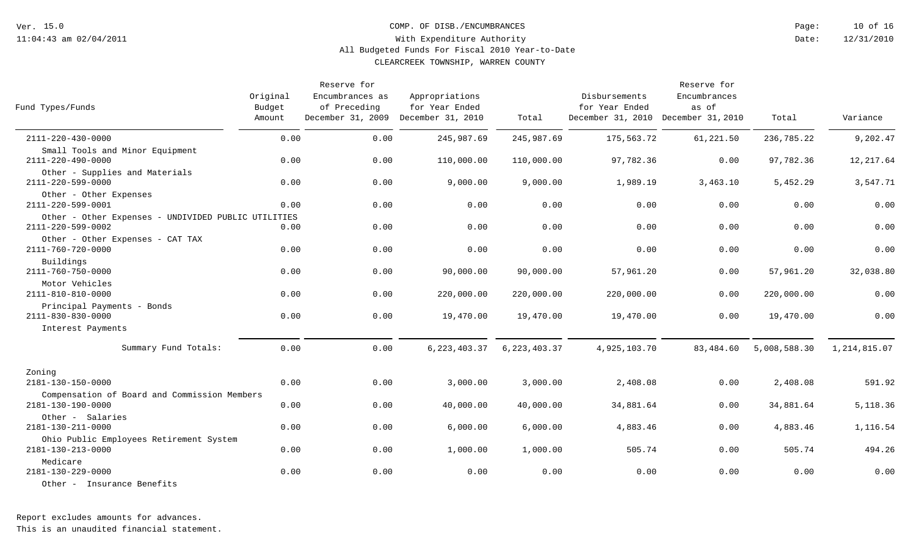COMP. OF DISB./ENCUMBRANCES

12/31/2010 10 of 16 Date: Page:

### With Expenditure Authority All Budgeted Funds For Fiscal 2010 Year-to-Date

CLEARCREEK TOWNSHIP, WARREN COUNTY

| Fund Types/Funds                                                          | Original<br>Budget<br>Amount | Reserve for<br>Encumbrances as<br>of Preceding<br>December 31, 2009 December 31, 2010 | Appropriations<br>for Year Ended | Total          | Disbursements<br>for Year Ended<br>December 31, 2010 December 31, 2010 | Reserve for<br>Encumbrances<br>as of | Total        | Variance       |
|---------------------------------------------------------------------------|------------------------------|---------------------------------------------------------------------------------------|----------------------------------|----------------|------------------------------------------------------------------------|--------------------------------------|--------------|----------------|
| 2111-220-430-0000                                                         | 0.00                         | 0.00                                                                                  | 245,987.69                       | 245,987.69     | 175,563.72                                                             | 61,221.50                            | 236,785.22   | 9,202.47       |
| Small Tools and Minor Equipment<br>2111-220-490-0000                      | 0.00                         | 0.00                                                                                  | 110,000.00                       | 110,000.00     | 97,782.36                                                              | 0.00                                 | 97,782.36    | 12,217.64      |
| Other - Supplies and Materials<br>2111-220-599-0000                       | 0.00                         | 0.00                                                                                  | 9,000.00                         | 9,000.00       | 1,989.19                                                               | 3,463.10                             | 5,452.29     | 3,547.71       |
| Other - Other Expenses<br>2111-220-599-0001                               | 0.00                         | 0.00                                                                                  | 0.00                             | 0.00           | 0.00                                                                   | 0.00                                 | 0.00         | 0.00           |
| Other - Other Expenses - UNDIVIDED PUBLIC UTILITIES                       |                              |                                                                                       |                                  |                |                                                                        |                                      |              |                |
| 2111-220-599-0002                                                         | 0.00                         | 0.00                                                                                  | 0.00                             | 0.00           | 0.00                                                                   | 0.00                                 | 0.00         | 0.00           |
| Other - Other Expenses - CAT TAX<br>2111-760-720-0000                     | 0.00                         | 0.00                                                                                  | 0.00                             | 0.00           | 0.00                                                                   | 0.00                                 | 0.00         | 0.00           |
| Buildings<br>2111-760-750-0000                                            | 0.00                         | 0.00                                                                                  | 90,000.00                        | 90,000.00      | 57,961.20                                                              | 0.00                                 | 57,961.20    | 32,038.80      |
| Motor Vehicles<br>2111-810-810-0000                                       | 0.00                         | 0.00                                                                                  | 220,000.00                       | 220,000.00     | 220,000.00                                                             | 0.00                                 | 220,000.00   | 0.00           |
| Principal Payments - Bonds<br>2111-830-830-0000                           | 0.00                         | 0.00                                                                                  | 19,470.00                        | 19,470.00      | 19,470.00                                                              | 0.00                                 | 19,470.00    | 0.00           |
| Interest Payments                                                         |                              |                                                                                       |                                  |                |                                                                        |                                      |              |                |
| Summary Fund Totals:                                                      | 0.00                         | 0.00                                                                                  | 6, 223, 403.37                   | 6, 223, 403.37 | 4,925,103.70                                                           | 83,484.60                            | 5,008,588.30 | 1, 214, 815.07 |
| Zoning                                                                    |                              |                                                                                       |                                  |                |                                                                        |                                      |              |                |
| 2181-130-150-0000                                                         | 0.00                         | 0.00                                                                                  | 3,000.00                         | 3,000.00       | 2,408.08                                                               | 0.00                                 | 2,408.08     | 591.92         |
| Compensation of Board and Commission Members<br>$2181 - 130 - 190 - 0000$ | 0.00                         | 0.00                                                                                  | 40,000.00                        | 40,000.00      | 34,881.64                                                              | 0.00                                 | 34,881.64    | 5,118.36       |
| Other - Salaries                                                          |                              |                                                                                       |                                  |                |                                                                        |                                      |              |                |
| 2181-130-211-0000                                                         | 0.00                         | 0.00                                                                                  | 6,000.00                         | 6,000.00       | 4,883.46                                                               | 0.00                                 | 4,883.46     | 1,116.54       |
| Ohio Public Employees Retirement System<br>2181-130-213-0000              | 0.00                         | 0.00                                                                                  | 1,000.00                         | 1,000.00       | 505.74                                                                 | 0.00                                 | 505.74       | 494.26         |
| Medicare<br>2181-130-229-0000                                             | 0.00                         | 0.00                                                                                  | 0.00                             | 0.00           | 0.00                                                                   | 0.00                                 | 0.00         | 0.00           |
| Other - Insurance Benefits                                                |                              |                                                                                       |                                  |                |                                                                        |                                      |              |                |

Report excludes amounts for advances.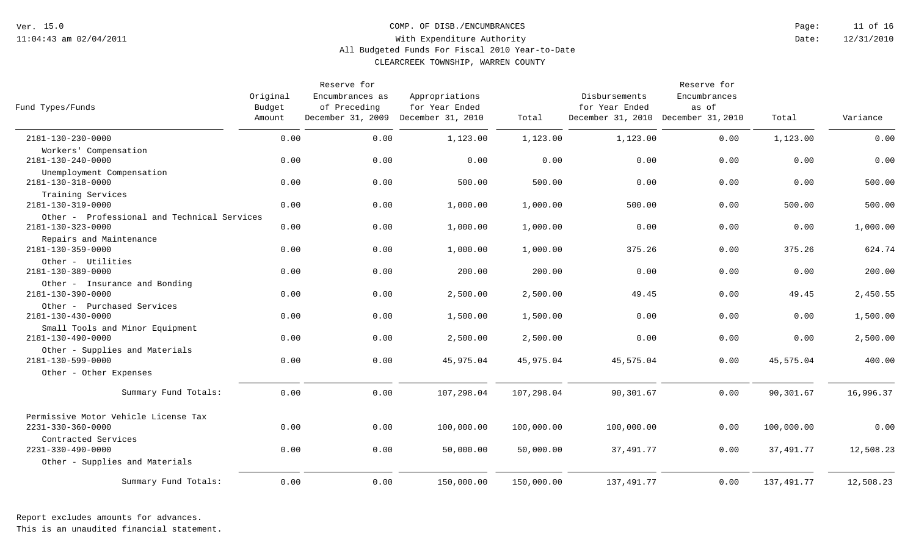COMP. OF DISB./ENCUMBRANCES

12/31/2010 11 of 16 Date: Page:

### With Expenditure Authority All Budgeted Funds For Fiscal 2010 Year-to-Date

CLEARCREEK TOWNSHIP, WARREN COUNTY

| Fund Types/Funds                                                         | Original<br>Budget<br>Amount | Reserve for<br>Encumbrances as<br>of Preceding<br>December 31, 2009 December 31, 2010 | Appropriations<br>for Year Ended | Total      | Disbursements<br>for Year Ended<br>December 31, 2010 December 31, 2010 | Reserve for<br>Encumbrances<br>as of | Total      | Variance  |
|--------------------------------------------------------------------------|------------------------------|---------------------------------------------------------------------------------------|----------------------------------|------------|------------------------------------------------------------------------|--------------------------------------|------------|-----------|
| 2181-130-230-0000                                                        | 0.00                         | 0.00                                                                                  | 1,123.00                         | 1,123.00   | 1,123.00                                                               | 0.00                                 | 1,123.00   | 0.00      |
| Workers' Compensation<br>2181-130-240-0000                               | 0.00                         | 0.00                                                                                  | 0.00                             | 0.00       | 0.00                                                                   | 0.00                                 | 0.00       | 0.00      |
| Unemployment Compensation<br>2181-130-318-0000                           | 0.00                         | 0.00                                                                                  | 500.00                           | 500.00     | 0.00                                                                   | 0.00                                 | 0.00       | 500.00    |
| Training Services<br>2181-130-319-0000                                   | 0.00                         | 0.00                                                                                  | 1,000.00                         | 1,000.00   | 500.00                                                                 | 0.00                                 | 500.00     | 500.00    |
| Other - Professional and Technical Services<br>$2181 - 130 - 323 - 0000$ | 0.00                         | 0.00                                                                                  | 1,000.00                         | 1,000.00   | 0.00                                                                   | 0.00                                 | 0.00       | 1,000.00  |
| Repairs and Maintenance<br>2181-130-359-0000                             | 0.00                         | 0.00                                                                                  | 1,000.00                         | 1,000.00   | 375.26                                                                 | 0.00                                 | 375.26     | 624.74    |
| Other - Utilities<br>2181-130-389-0000                                   | 0.00                         | 0.00                                                                                  | 200.00                           | 200.00     | 0.00                                                                   | 0.00                                 | 0.00       | 200.00    |
| Other - Insurance and Bonding<br>2181-130-390-0000                       | 0.00                         | 0.00                                                                                  | 2,500.00                         | 2,500.00   | 49.45                                                                  | 0.00                                 | 49.45      | 2,450.55  |
| Other - Purchased Services<br>2181-130-430-0000                          | 0.00                         | 0.00                                                                                  | 1,500.00                         | 1,500.00   | 0.00                                                                   | 0.00                                 | 0.00       | 1,500.00  |
| Small Tools and Minor Equipment<br>2181-130-490-0000                     | 0.00                         | 0.00                                                                                  | 2,500.00                         | 2,500.00   | 0.00                                                                   | 0.00                                 | 0.00       | 2,500.00  |
| Other - Supplies and Materials<br>$2181 - 130 - 599 - 0000$              | 0.00                         | 0.00                                                                                  | 45,975.04                        | 45,975.04  | 45,575.04                                                              | 0.00                                 | 45,575.04  | 400.00    |
| Other - Other Expenses                                                   |                              |                                                                                       |                                  |            |                                                                        |                                      |            |           |
| Summary Fund Totals:                                                     | 0.00                         | 0.00                                                                                  | 107,298.04                       | 107,298.04 | 90,301.67                                                              | 0.00                                 | 90,301.67  | 16,996.37 |
| Permissive Motor Vehicle License Tax                                     |                              |                                                                                       |                                  |            |                                                                        |                                      |            |           |
| $2231 - 330 - 360 - 0000$                                                | 0.00                         | 0.00                                                                                  | 100,000.00                       | 100,000.00 | 100,000.00                                                             | 0.00                                 | 100,000.00 | 0.00      |
| Contracted Services<br>$2231 - 330 - 490 - 0000$                         | 0.00                         | 0.00                                                                                  | 50,000.00                        | 50,000.00  | 37, 491.77                                                             | 0.00                                 | 37,491.77  | 12,508.23 |
| Other - Supplies and Materials                                           |                              |                                                                                       |                                  |            |                                                                        |                                      |            |           |
| Summary Fund Totals:                                                     | 0.00                         | 0.00                                                                                  | 150,000.00                       | 150,000.00 | 137, 491.77                                                            | 0.00                                 | 137,491.77 | 12,508.23 |

Report excludes amounts for advances.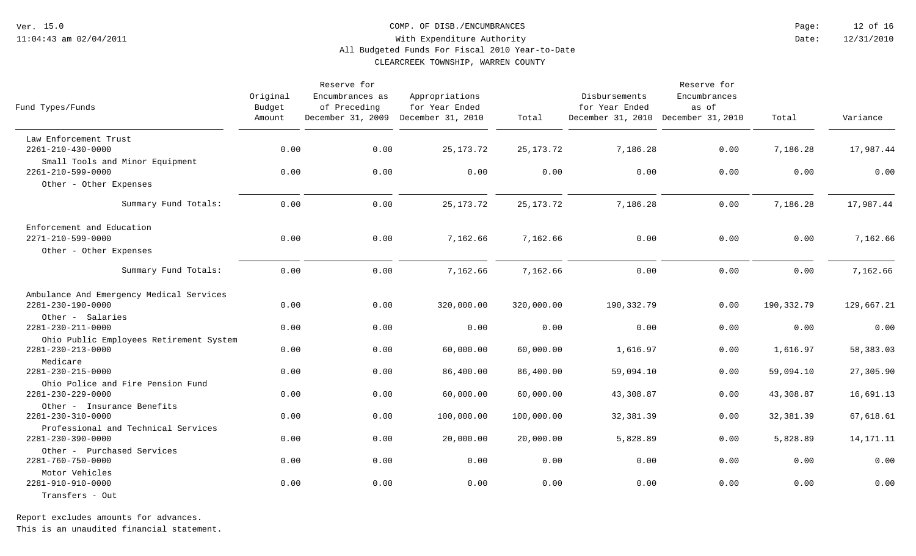COMP. OF DISB./ENCUMBRANCES

12/31/2010 12 of 16 Date: Page:

### With Expenditure Authority All Budgeted Funds For Fiscal 2010 Year-to-Date

CLEARCREEK TOWNSHIP, WARREN COUNTY

| Fund Types/Funds                                         | Original<br>Budget<br>Amount | Reserve for<br>Encumbrances as<br>of Preceding | Appropriations<br>for Year Ended<br>December 31, 2009 December 31, 2010 | Total       | Disbursements<br>for Year Ended<br>December 31, 2010 December 31, 2010 | Reserve for<br>Encumbrances<br>as of | Total      | Variance    |
|----------------------------------------------------------|------------------------------|------------------------------------------------|-------------------------------------------------------------------------|-------------|------------------------------------------------------------------------|--------------------------------------|------------|-------------|
| Law Enforcement Trust                                    |                              |                                                |                                                                         |             |                                                                        |                                      |            |             |
| 2261-210-430-0000                                        | 0.00                         | 0.00                                           | 25, 173. 72                                                             | 25, 173. 72 | 7,186.28                                                               | 0.00                                 | 7,186.28   | 17,987.44   |
| Small Tools and Minor Equipment<br>2261-210-599-0000     | 0.00                         | 0.00                                           | 0.00                                                                    | 0.00        | 0.00                                                                   | 0.00                                 | 0.00       | 0.00        |
| Other - Other Expenses                                   |                              |                                                |                                                                         |             |                                                                        |                                      |            |             |
| Summary Fund Totals:                                     | 0.00                         | 0.00                                           | 25, 173. 72                                                             | 25, 173. 72 | 7,186.28                                                               | 0.00                                 | 7,186.28   | 17,987.44   |
| Enforcement and Education                                |                              |                                                |                                                                         |             |                                                                        |                                      |            |             |
| 2271-210-599-0000                                        | 0.00                         | 0.00                                           | 7,162.66                                                                | 7,162.66    | 0.00                                                                   | 0.00                                 | 0.00       | 7,162.66    |
| Other - Other Expenses                                   |                              |                                                |                                                                         |             |                                                                        |                                      |            |             |
| Summary Fund Totals:                                     | 0.00                         | 0.00                                           | 7,162.66                                                                | 7,162.66    | 0.00                                                                   | 0.00                                 | 0.00       | 7,162.66    |
| Ambulance And Emergency Medical Services                 |                              |                                                |                                                                         |             |                                                                        |                                      |            |             |
| 2281-230-190-0000                                        | 0.00                         | 0.00                                           | 320,000.00                                                              | 320,000.00  | 190,332.79                                                             | 0.00                                 | 190,332.79 | 129,667.21  |
| Other - Salaries<br>2281-230-211-0000                    | 0.00                         | 0.00                                           | 0.00                                                                    | 0.00        | 0.00                                                                   | 0.00                                 | 0.00       | 0.00        |
| Ohio Public Employees Retirement System                  |                              |                                                |                                                                         |             |                                                                        |                                      |            |             |
| 2281-230-213-0000<br>Medicare                            | 0.00                         | 0.00                                           | 60,000.00                                                               | 60,000.00   | 1,616.97                                                               | 0.00                                 | 1,616.97   | 58,383.03   |
| 2281-230-215-0000                                        | 0.00                         | 0.00                                           | 86,400.00                                                               | 86,400.00   | 59,094.10                                                              | 0.00                                 | 59,094.10  | 27,305.90   |
| Ohio Police and Fire Pension Fund<br>2281-230-229-0000   | 0.00                         | 0.00                                           | 60,000.00                                                               | 60,000.00   | 43,308.87                                                              | 0.00                                 | 43,308.87  | 16,691.13   |
| Other - Insurance Benefits                               |                              |                                                |                                                                         |             |                                                                        |                                      |            |             |
| 2281-230-310-0000                                        | 0.00                         | 0.00                                           | 100,000.00                                                              | 100,000.00  | 32,381.39                                                              | 0.00                                 | 32,381.39  | 67,618.61   |
| Professional and Technical Services<br>2281-230-390-0000 | 0.00                         | 0.00                                           | 20,000.00                                                               | 20,000.00   | 5,828.89                                                               | 0.00                                 | 5,828.89   | 14, 171. 11 |
| Other - Purchased Services<br>2281-760-750-0000          | 0.00                         | 0.00                                           | 0.00                                                                    | 0.00        | 0.00                                                                   | 0.00                                 | 0.00       | 0.00        |
| Motor Vehicles<br>2281-910-910-0000                      | 0.00                         | 0.00                                           | 0.00                                                                    | 0.00        | 0.00                                                                   | 0.00                                 | 0.00       | 0.00        |
| Transfers - Out                                          |                              |                                                |                                                                         |             |                                                                        |                                      |            |             |

Report excludes amounts for advances.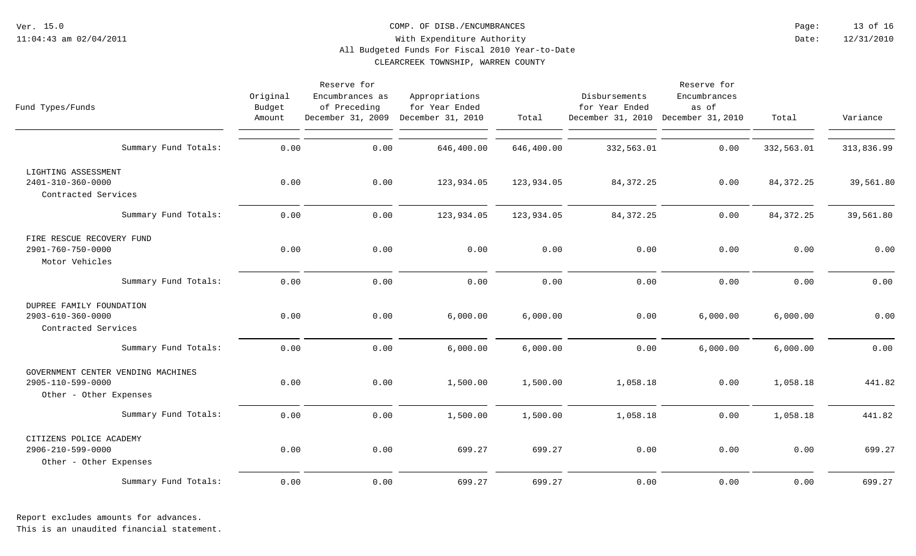#### COMP. OF DISB./ENCUMBRANCES

12/31/2010 13 of 16 Date: Page:

### With Expenditure Authority All Budgeted Funds For Fiscal 2010 Year-to-Date

CLEARCREEK TOWNSHIP, WARREN COUNTY

| Fund Types/Funds                                                                  | Original<br>Budget<br>Amount | Reserve for<br>Encumbrances as<br>of Preceding<br>December 31, 2009 | Appropriations<br>for Year Ended<br>December 31, 2010 | Total      | Disbursements<br>for Year Ended<br>December 31, 2010 December 31, 2010 | Reserve for<br>Encumbrances<br>as of | Total       | Variance   |
|-----------------------------------------------------------------------------------|------------------------------|---------------------------------------------------------------------|-------------------------------------------------------|------------|------------------------------------------------------------------------|--------------------------------------|-------------|------------|
| Summary Fund Totals:                                                              | 0.00                         | 0.00                                                                | 646,400.00                                            | 646,400.00 | 332,563.01                                                             | 0.00                                 | 332,563.01  | 313,836.99 |
| LIGHTING ASSESSMENT<br>2401-310-360-0000<br>Contracted Services                   | 0.00                         | 0.00                                                                | 123,934.05                                            | 123,934.05 | 84, 372. 25                                                            | 0.00                                 | 84, 372. 25 | 39,561.80  |
| Summary Fund Totals:                                                              | 0.00                         | 0.00                                                                | 123,934.05                                            | 123,934.05 | 84, 372. 25                                                            | 0.00                                 | 84, 372. 25 | 39,561.80  |
| FIRE RESCUE RECOVERY FUND<br>$2901 - 760 - 750 - 0000$<br>Motor Vehicles          | 0.00                         | 0.00                                                                | 0.00                                                  | 0.00       | 0.00                                                                   | 0.00                                 | 0.00        | 0.00       |
| Summary Fund Totals:                                                              | 0.00                         | 0.00                                                                | 0.00                                                  | 0.00       | 0.00                                                                   | 0.00                                 | 0.00        | 0.00       |
| DUPREE FAMILY FOUNDATION<br>2903-610-360-0000<br>Contracted Services              | 0.00                         | 0.00                                                                | 6,000.00                                              | 6,000.00   | 0.00                                                                   | 6,000.00                             | 6,000.00    | 0.00       |
| Summary Fund Totals:                                                              | 0.00                         | 0.00                                                                | 6,000.00                                              | 6,000.00   | 0.00                                                                   | 6,000.00                             | 6,000.00    | 0.00       |
| GOVERNMENT CENTER VENDING MACHINES<br>2905-110-599-0000<br>Other - Other Expenses | 0.00                         | 0.00                                                                | 1,500.00                                              | 1,500.00   | 1,058.18                                                               | 0.00                                 | 1,058.18    | 441.82     |
| Summary Fund Totals:                                                              | 0.00                         | 0.00                                                                | 1,500.00                                              | 1,500.00   | 1,058.18                                                               | 0.00                                 | 1,058.18    | 441.82     |
| CITIZENS POLICE ACADEMY<br>2906-210-599-0000<br>Other - Other Expenses            | 0.00                         | 0.00                                                                | 699.27                                                | 699.27     | 0.00                                                                   | 0.00                                 | 0.00        | 699.27     |
| Summary Fund Totals:                                                              | 0.00                         | 0.00                                                                | 699.27                                                | 699.27     | 0.00                                                                   | 0.00                                 | 0.00        | 699.27     |

Report excludes amounts for advances.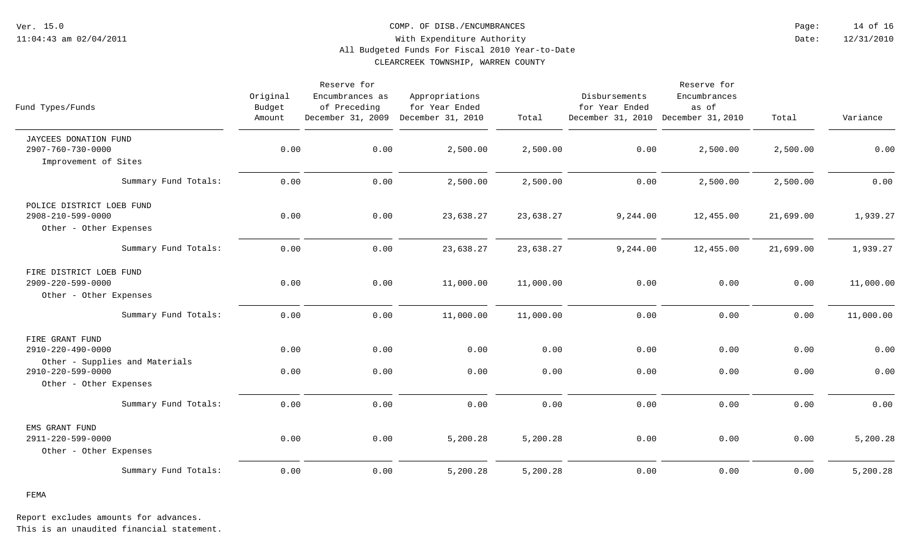COMP. OF DISB./ENCUMBRANCES

12/31/2010 14 of 16 Date: Page:

### With Expenditure Authority All Budgeted Funds For Fiscal 2010 Year-to-Date

CLEARCREEK TOWNSHIP, WARREN COUNTY

| Fund Types/Funds                                                              | Original<br>Budget<br>Amount | Reserve for<br>Encumbrances as<br>of Preceding<br>December 31, 2009 | Appropriations<br>for Year Ended<br>December 31, 2010 | Total     | Disbursements<br>for Year Ended<br>December 31, 2010 December 31, 2010 | Reserve for<br>Encumbrances<br>as of | Total     | Variance  |
|-------------------------------------------------------------------------------|------------------------------|---------------------------------------------------------------------|-------------------------------------------------------|-----------|------------------------------------------------------------------------|--------------------------------------|-----------|-----------|
| JAYCEES DONATION FUND<br>$2907 - 760 - 730 - 0000$                            | 0.00                         | 0.00                                                                | 2,500.00                                              | 2,500.00  | 0.00                                                                   | 2,500.00                             | 2,500.00  | 0.00      |
| Improvement of Sites                                                          |                              |                                                                     |                                                       |           |                                                                        |                                      |           |           |
| Summary Fund Totals:                                                          | 0.00                         | 0.00                                                                | 2,500.00                                              | 2,500.00  | 0.00                                                                   | 2,500.00                             | 2,500.00  | 0.00      |
| POLICE DISTRICT LOEB FUND<br>2908-210-599-0000<br>Other - Other Expenses      | 0.00                         | 0.00                                                                | 23,638.27                                             | 23,638.27 | 9,244.00                                                               | 12,455.00                            | 21,699.00 | 1,939.27  |
| Summary Fund Totals:                                                          | 0.00                         | 0.00                                                                | 23,638.27                                             | 23,638.27 | 9,244.00                                                               | 12,455.00                            | 21,699.00 | 1,939.27  |
| FIRE DISTRICT LOEB FUND<br>2909-220-599-0000<br>Other - Other Expenses        | 0.00                         | 0.00                                                                | 11,000.00                                             | 11,000.00 | 0.00                                                                   | 0.00                                 | 0.00      | 11,000.00 |
| Summary Fund Totals:                                                          | 0.00                         | 0.00                                                                | 11,000.00                                             | 11,000.00 | 0.00                                                                   | 0.00                                 | 0.00      | 11,000.00 |
| FIRE GRANT FUND<br>2910-220-490-0000                                          | 0.00                         | 0.00                                                                | 0.00                                                  | 0.00      | 0.00                                                                   | 0.00                                 | 0.00      | 0.00      |
| Other - Supplies and Materials<br>2910-220-599-0000<br>Other - Other Expenses | 0.00                         | 0.00                                                                | 0.00                                                  | 0.00      | 0.00                                                                   | 0.00                                 | 0.00      | 0.00      |
| Summary Fund Totals:                                                          | 0.00                         | 0.00                                                                | 0.00                                                  | 0.00      | 0.00                                                                   | 0.00                                 | 0.00      | 0.00      |
| EMS GRANT FUND<br>2911-220-599-0000<br>Other - Other Expenses                 | 0.00                         | 0.00                                                                | 5,200.28                                              | 5,200.28  | 0.00                                                                   | 0.00                                 | 0.00      | 5,200.28  |
| Summary Fund Totals:                                                          | 0.00                         | 0.00                                                                | 5,200.28                                              | 5,200.28  | 0.00                                                                   | 0.00                                 | 0.00      | 5,200.28  |

FEMA

Report excludes amounts for advances.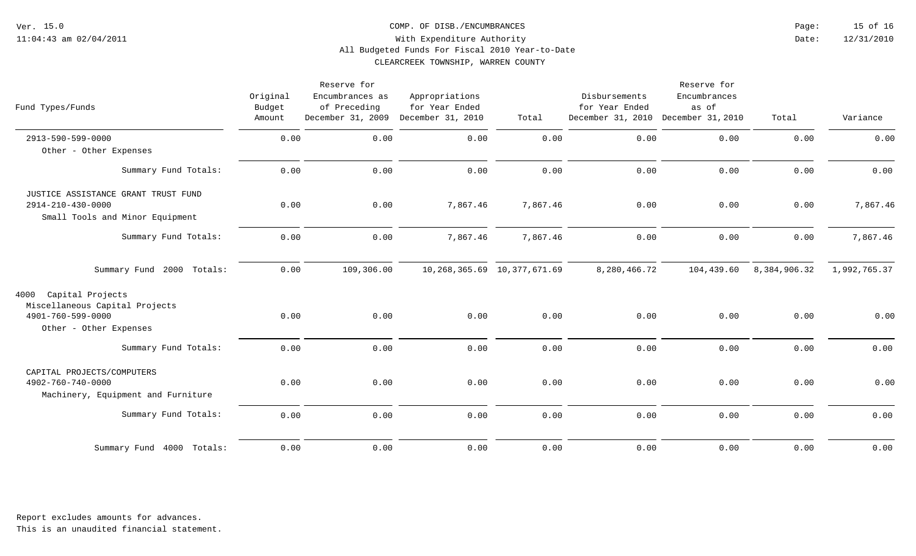COMP. OF DISB./ENCUMBRANCES

12/31/2010 15 of 16 Date: Page:

### With Expenditure Authority All Budgeted Funds For Fiscal 2010 Year-to-Date

CLEARCREEK TOWNSHIP, WARREN COUNTY

| Fund Types/Funds                                                                                          | Original<br>Budget<br>Amount | Reserve for<br>Encumbrances as<br>of Preceding<br>December 31, 2009 | Appropriations<br>for Year Ended<br>December 31, 2010 | Total                             | Disbursements<br>for Year Ended<br>December 31, 2010 December 31, 2010 | Reserve for<br>Encumbrances<br>as of | Total        | Variance     |
|-----------------------------------------------------------------------------------------------------------|------------------------------|---------------------------------------------------------------------|-------------------------------------------------------|-----------------------------------|------------------------------------------------------------------------|--------------------------------------|--------------|--------------|
| 2913-590-599-0000                                                                                         | 0.00                         | 0.00                                                                | 0.00                                                  | 0.00                              | 0.00                                                                   | 0.00                                 | 0.00         | 0.00         |
| Other - Other Expenses                                                                                    |                              |                                                                     |                                                       |                                   |                                                                        |                                      |              |              |
| Summary Fund Totals:                                                                                      | 0.00                         | 0.00                                                                | 0.00                                                  | 0.00                              | 0.00                                                                   | 0.00                                 | 0.00         | 0.00         |
| JUSTICE ASSISTANCE GRANT TRUST FUND<br>2914-210-430-0000<br>Small Tools and Minor Equipment               | 0.00                         | 0.00                                                                | 7,867.46                                              | 7,867.46                          | 0.00                                                                   | 0.00                                 | 0.00         | 7,867.46     |
| Summary Fund Totals:                                                                                      | 0.00                         | 0.00                                                                | 7,867.46                                              | 7,867.46                          | 0.00                                                                   | 0.00                                 | 0.00         | 7,867.46     |
| Summary Fund 2000 Totals:                                                                                 | 0.00                         | 109,306.00                                                          |                                                       | 10, 268, 365. 69 10, 377, 671. 69 | 8,280,466.72                                                           | 104,439.60                           | 8,384,906.32 | 1,992,765.37 |
| Capital Projects<br>4000<br>Miscellaneous Capital Projects<br>4901-760-599-0000<br>Other - Other Expenses | 0.00                         | 0.00                                                                | 0.00                                                  | 0.00                              | 0.00                                                                   | 0.00                                 | 0.00         | 0.00         |
| Summary Fund Totals:                                                                                      | 0.00                         | 0.00                                                                | 0.00                                                  | 0.00                              | 0.00                                                                   | 0.00                                 | 0.00         | 0.00         |
| CAPITAL PROJECTS/COMPUTERS<br>4902-760-740-0000<br>Machinery, Equipment and Furniture                     | 0.00                         | 0.00                                                                | 0.00                                                  | 0.00                              | 0.00                                                                   | 0.00                                 | 0.00         | 0.00         |
| Summary Fund Totals:                                                                                      | 0.00                         | 0.00                                                                | 0.00                                                  | 0.00                              | 0.00                                                                   | 0.00                                 | 0.00         | 0.00         |
| Summary Fund 4000 Totals:                                                                                 | 0.00                         | 0.00                                                                | 0.00                                                  | 0.00                              | 0.00                                                                   | 0.00                                 | 0.00         | 0.00         |

Report excludes amounts for advances.